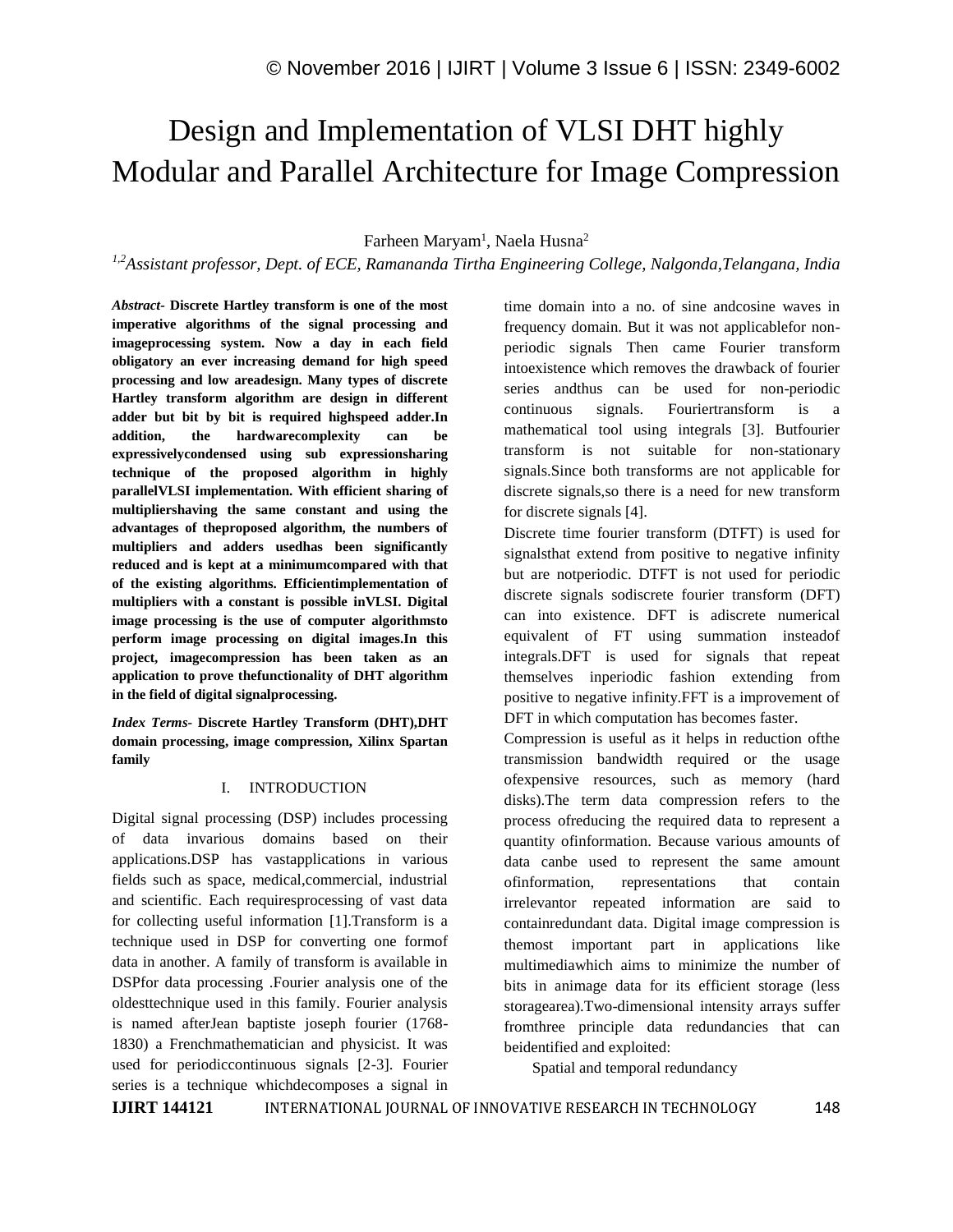# Design and Implementation of VLSI DHT highly Modular and Parallel Architecture for Image Compression

Farheen Maryam<sup>1</sup>, Naela Husna<sup>2</sup>

*1,2Assistant professor, Dept. of ECE, Ramananda Tirtha Engineering College, Nalgonda,Telangana, India*

*Abstract-* **Discrete Hartley transform is one of the most imperative algorithms of the signal processing and imageprocessing system. Now a day in each field obligatory an ever increasing demand for high speed processing and low areadesign. Many types of discrete Hartley transform algorithm are design in different adder but bit by bit is required highspeed adder.In addition, the hardwarecomplexity can be expressivelycondensed using sub expressionsharing technique of the proposed algorithm in highly parallelVLSI implementation. With efficient sharing of multipliershaving the same constant and using the advantages of theproposed algorithm, the numbers of multipliers and adders usedhas been significantly reduced and is kept at a minimumcompared with that of the existing algorithms. Efficientimplementation of multipliers with a constant is possible inVLSI. Digital image processing is the use of computer algorithmsto perform image processing on digital images.In this project, imagecompression has been taken as an application to prove thefunctionality of DHT algorithm in the field of digital signalprocessing.**

*Index Terms-* **Discrete Hartley Transform (DHT),DHT domain processing, image compression, Xilinx Spartan family**

#### I. INTRODUCTION

Digital signal processing (DSP) includes processing of data invarious domains based on their applications.DSP has vastapplications in various fields such as space, medical,commercial, industrial and scientific. Each requiresprocessing of vast data for collecting useful information [1].Transform is a technique used in DSP for converting one formof data in another. A family of transform is available in DSPfor data processing .Fourier analysis one of the oldesttechnique used in this family. Fourier analysis is named afterJean baptiste joseph fourier (1768- 1830) a Frenchmathematician and physicist. It was used for periodiccontinuous signals [2-3]. Fourier series is a technique whichdecomposes a signal in

time domain into a no. of sine andcosine waves in frequency domain. But it was not applicablefor nonperiodic signals Then came Fourier transform intoexistence which removes the drawback of fourier series andthus can be used for non-periodic continuous signals. Fouriertransform is a mathematical tool using integrals [3]. Butfourier transform is not suitable for non-stationary signals.Since both transforms are not applicable for discrete signals,so there is a need for new transform for discrete signals [4].

Discrete time fourier transform (DTFT) is used for signalsthat extend from positive to negative infinity but are notperiodic. DTFT is not used for periodic discrete signals sodiscrete fourier transform (DFT) can into existence. DFT is adiscrete numerical equivalent of FT using summation insteadof integrals.DFT is used for signals that repeat themselves inperiodic fashion extending from positive to negative infinity.FFT is a improvement of DFT in which computation has becomes faster.

Compression is useful as it helps in reduction ofthe transmission bandwidth required or the usage ofexpensive resources, such as memory (hard disks).The term data compression refers to the process ofreducing the required data to represent a quantity ofinformation. Because various amounts of data canbe used to represent the same amount ofinformation, representations that contain irrelevantor repeated information are said to containredundant data. Digital image compression is themost important part in applications like multimediawhich aims to minimize the number of bits in animage data for its efficient storage (less storagearea).Two-dimensional intensity arrays suffer fromthree principle data redundancies that can beidentified and exploited:

Spatial and temporal redundancy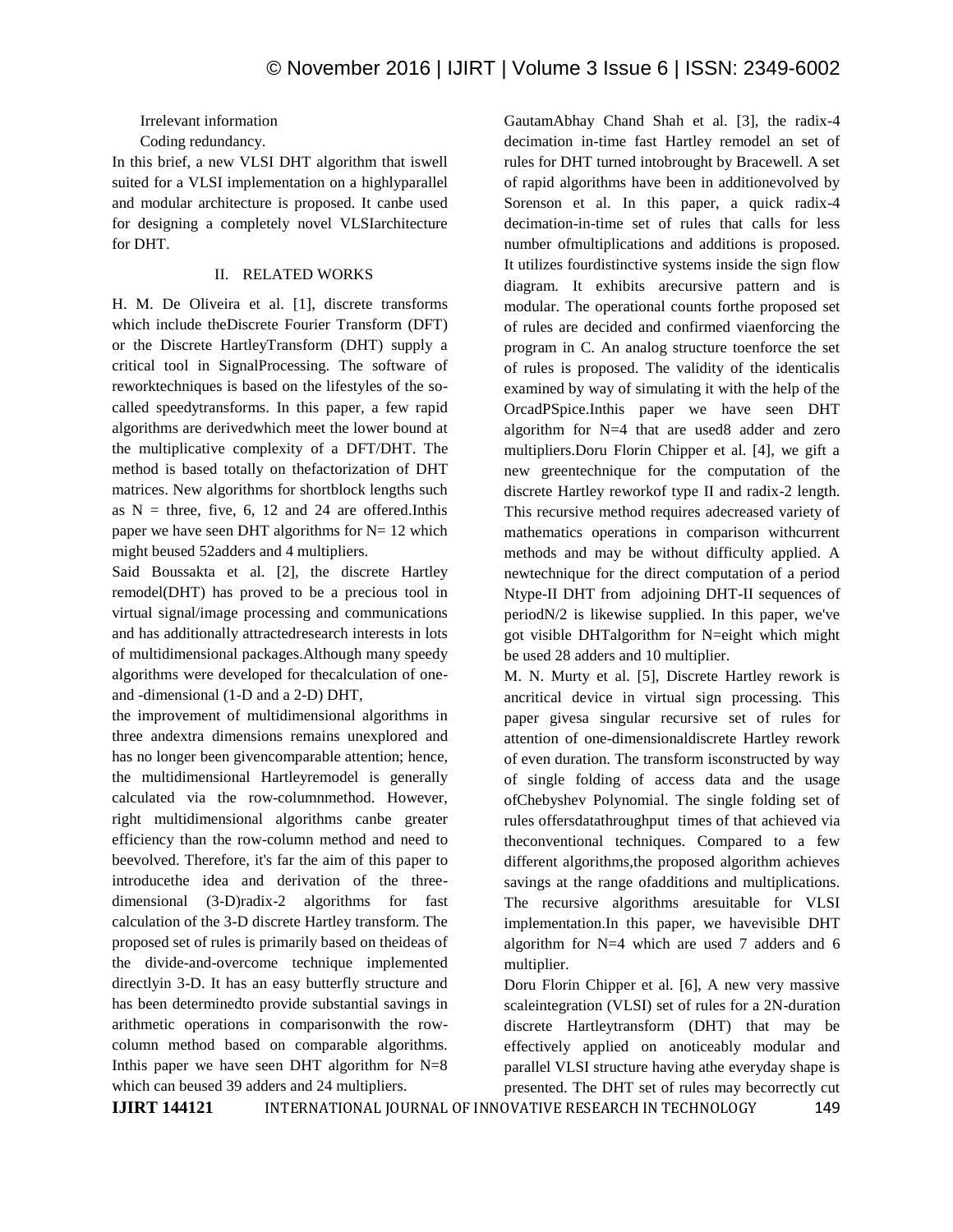Irrelevant information

### Coding redundancy.

In this brief, a new VLSI DHT algorithm that iswell suited for a VLSI implementation on a highlyparallel and modular architecture is proposed. It canbe used for designing a completely novel VLSIarchitecture for DHT.

# II. RELATED WORKS

H. M. De Oliveira et al. [1], discrete transforms which include theDiscrete Fourier Transform (DFT) or the Discrete HartleyTransform (DHT) supply a critical tool in SignalProcessing. The software of reworktechniques is based on the lifestyles of the socalled speedytransforms. In this paper, a few rapid algorithms are derivedwhich meet the lower bound at the multiplicative complexity of a DFT/DHT. The method is based totally on thefactorization of DHT matrices. New algorithms for shortblock lengths such as  $N =$  three, five, 6, 12 and 24 are offered. In this paper we have seen DHT algorithms for  $N=12$  which might beused 52adders and 4 multipliers.

Said Boussakta et al. [2], the discrete Hartley remodel(DHT) has proved to be a precious tool in virtual signal/image processing and communications and has additionally attractedresearch interests in lots of multidimensional packages.Although many speedy algorithms were developed for thecalculation of oneand -dimensional (1-D and a 2-D) DHT,

the improvement of multidimensional algorithms in three andextra dimensions remains unexplored and has no longer been givencomparable attention; hence, the multidimensional Hartleyremodel is generally calculated via the row-columnmethod. However, right multidimensional algorithms canbe greater efficiency than the row-column method and need to beevolved. Therefore, it's far the aim of this paper to introducethe idea and derivation of the threedimensional (3-D)radix-2 algorithms for fast calculation of the 3-D discrete Hartley transform. The proposed set of rules is primarily based on theideas of the divide-and-overcome technique implemented directlyin 3-D. It has an easy butterfly structure and has been determinedto provide substantial savings in arithmetic operations in comparisonwith the rowcolumn method based on comparable algorithms. In this paper we have seen DHT algorithm for  $N=8$ which can beused 39 adders and 24 multipliers.

GautamAbhay Chand Shah et al. [3], the radix-4 decimation in-time fast Hartley remodel an set of rules for DHT turned intobrought by Bracewell. A set of rapid algorithms have been in additionevolved by Sorenson et al. In this paper, a quick radix-4 decimation-in-time set of rules that calls for less number ofmultiplications and additions is proposed. It utilizes fourdistinctive systems inside the sign flow diagram. It exhibits arecursive pattern and is modular. The operational counts forthe proposed set of rules are decided and confirmed viaenforcing the program in C. An analog structure toenforce the set of rules is proposed. The validity of the identicalis examined by way of simulating it with the help of the OrcadPSpice.Inthis paper we have seen DHT algorithm for N=4 that are used8 adder and zero multipliers.Doru Florin Chipper et al. [4], we gift a new greentechnique for the computation of the discrete Hartley reworkof type II and radix-2 length. This recursive method requires adecreased variety of mathematics operations in comparison withcurrent methods and may be without difficulty applied. A newtechnique for the direct computation of a period Ntype-II DHT from adjoining DHT-II sequences of periodN/2 is likewise supplied. In this paper, we've got visible DHTalgorithm for N=eight which might be used 28 adders and 10 multiplier.

M. N. Murty et al. [5], Discrete Hartley rework is ancritical device in virtual sign processing. This paper givesa singular recursive set of rules for attention of one-dimensionaldiscrete Hartley rework of even duration. The transform isconstructed by way of single folding of access data and the usage ofChebyshev Polynomial. The single folding set of rules offersdatathroughput times of that achieved via theconventional techniques. Compared to a few different algorithms,the proposed algorithm achieves savings at the range ofadditions and multiplications. The recursive algorithms aresuitable for VLSI implementation.In this paper, we havevisible DHT algorithm for N=4 which are used 7 adders and 6 multiplier.

Doru Florin Chipper et al. [6], A new very massive scaleintegration (VLSI) set of rules for a 2N-duration discrete Hartleytransform (DHT) that may be effectively applied on anoticeably modular and parallel VLSI structure having athe everyday shape is presented. The DHT set of rules may becorrectly cut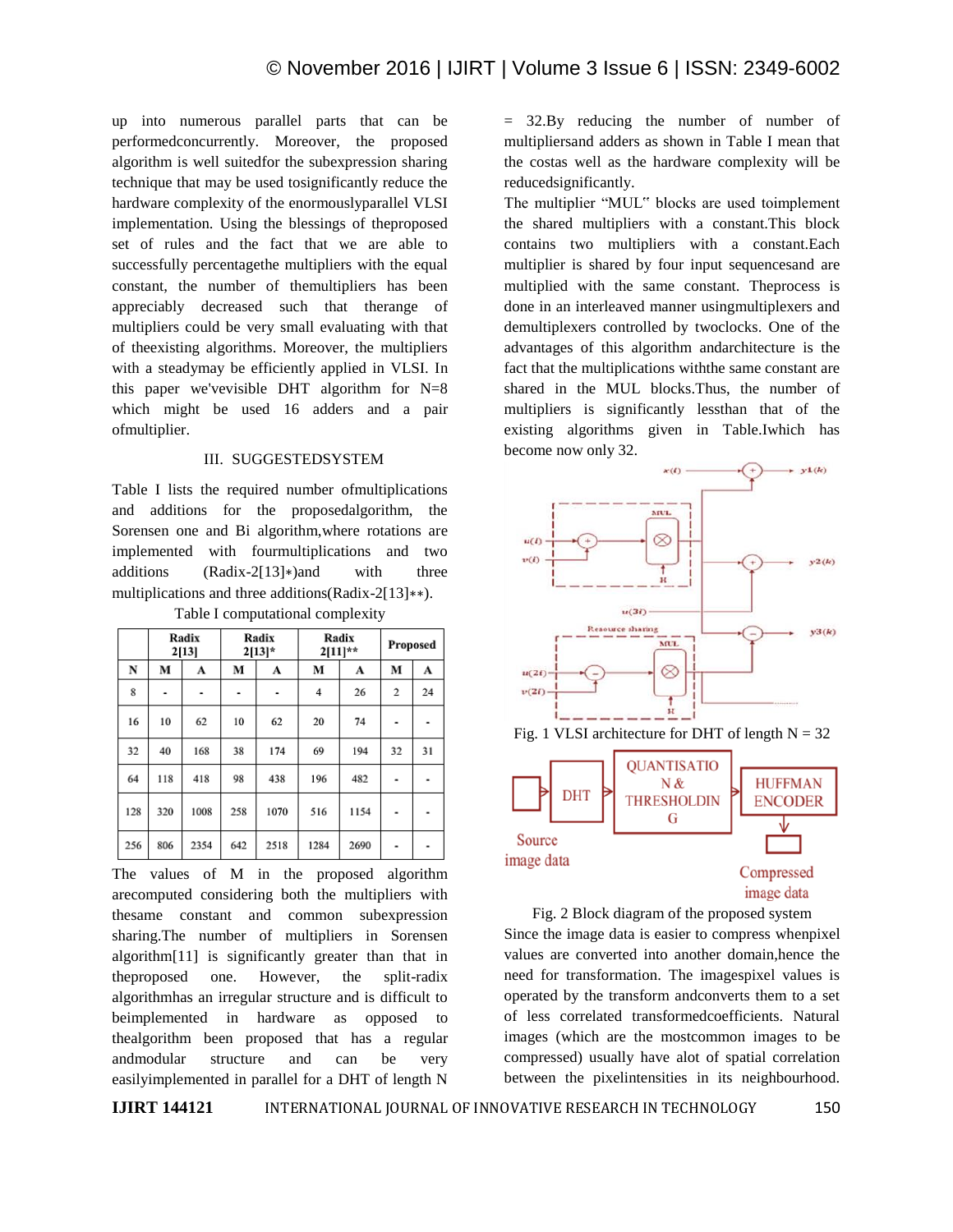up into numerous parallel parts that can be performedconcurrently. Moreover, the proposed algorithm is well suitedfor the subexpression sharing technique that may be used tosignificantly reduce the hardware complexity of the enormouslyparallel VLSI implementation. Using the blessings of theproposed set of rules and the fact that we are able to successfully percentagethe multipliers with the equal constant, the number of themultipliers has been appreciably decreased such that therange of multipliers could be very small evaluating with that of theexisting algorithms. Moreover, the multipliers with a steadymay be efficiently applied in VLSI. In this paper we'vevisible DHT algorithm for  $N=8$ which might be used 16 adders and a pair ofmultiplier.

#### III. SUGGESTEDSYSTEM

Table I lists the required number ofmultiplications and additions for the proposedalgorithm, the Sorensen one and Bi algorithm,where rotations are implemented with fourmultiplications and two additions (Radix-2[13]∗)and with three multiplications and three additions(Radix-2[13]∗∗). Table I computational complexity

|     | Radix<br>2[13] |      | Radix<br>$2[13]*$ |      | Radix<br>$2[11]**$ |      | Proposed |                |
|-----|----------------|------|-------------------|------|--------------------|------|----------|----------------|
| N   | M              | A    | М                 | A    | M                  | A    | M        | A              |
| 8   |                |      |                   | ۰    | 4                  | 26   | 2        | 24             |
| 16  | 10             | 62   | 10                | 62   | 20                 | 74   | -        | $\blacksquare$ |
| 32  | 40             | 168  | 38                | 174  | 69                 | 194  | 32       | 31             |
| 64  | 118            | 418  | 98                | 438  | 196                | 482  | ٠        | ۰              |
| 128 | 320            | 1008 | 258               | 1070 | 516                | 1154 | ۰        | ٠              |
| 256 | 806            | 2354 | 642               | 2518 | 1284               | 2690 |          |                |

The values of M in the proposed algorithm arecomputed considering both the multipliers with thesame constant and common subexpression sharing.The number of multipliers in Sorensen algorithm[11] is significantly greater than that in theproposed one. However, the split-radix algorithmhas an irregular structure and is difficult to beimplemented in hardware as opposed to thealgorithm been proposed that has a regular andmodular structure and can be very easilyimplemented in parallel for a DHT of length N

= 32.By reducing the number of number of multipliersand adders as shown in Table I mean that the costas well as the hardware complexity will be reducedsignificantly.

The multiplier "MUL" blocks are used toimplement the shared multipliers with a constant.This block contains two multipliers with a constant.Each multiplier is shared by four input sequencesand are multiplied with the same constant. Theprocess is done in an interleaved manner usingmultiplexers and demultiplexers controlled by twoclocks. One of the advantages of this algorithm andarchitecture is the fact that the multiplications withthe same constant are shared in the MUL blocks.Thus, the number of multipliers is significantly lessthan that of the existing algorithms given in Table.Iwhich has become now only 32.





Fig. 2 Block diagram of the proposed system Since the image data is easier to compress whenpixel values are converted into another domain,hence the need for transformation. The imagespixel values is operated by the transform andconverts them to a set of less correlated transformedcoefficients. Natural images (which are the mostcommon images to be compressed) usually have alot of spatial correlation between the pixelintensities in its neighbourhood.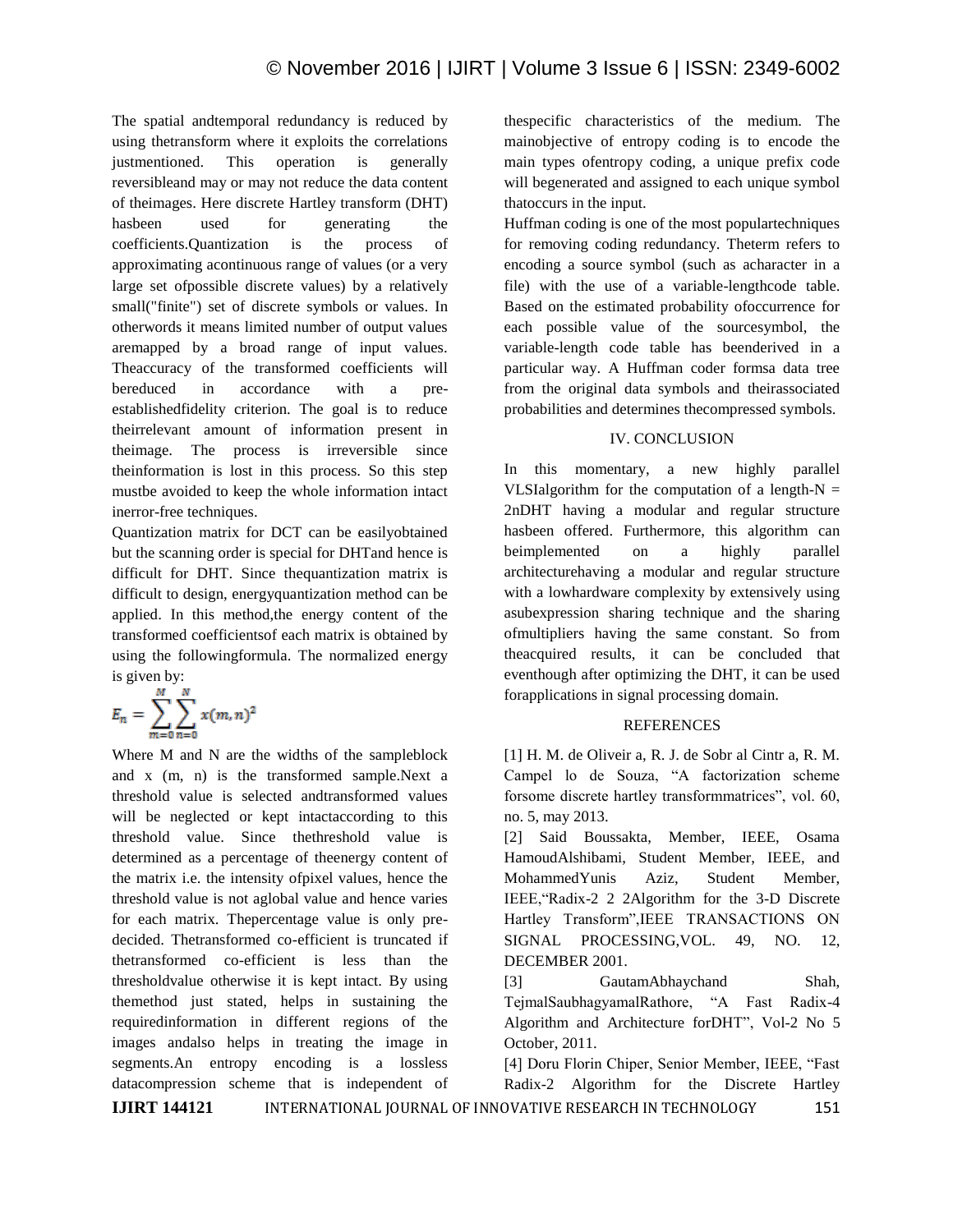The spatial andtemporal redundancy is reduced by using thetransform where it exploits the correlations justmentioned. This operation is generally reversibleand may or may not reduce the data content of theimages. Here discrete Hartley transform (DHT) hasbeen used for generating the coefficients.Quantization is the process of approximating acontinuous range of values (or a very large set ofpossible discrete values) by a relatively small("finite") set of discrete symbols or values. In otherwords it means limited number of output values aremapped by a broad range of input values. Theaccuracy of the transformed coefficients will bereduced in accordance with a preestablishedfidelity criterion. The goal is to reduce theirrelevant amount of information present in theimage. The process is irreversible since theinformation is lost in this process. So this step mustbe avoided to keep the whole information intact inerror-free techniques.

Quantization matrix for DCT can be easilyobtained but the scanning order is special for DHTand hence is difficult for DHT. Since thequantization matrix is difficult to design, energyquantization method can be applied. In this method,the energy content of the transformed coefficientsof each matrix is obtained by using the followingformula. The normalized energy is given by:

$$
E_n = \sum_{m=0}^{M} \sum_{n=0}^{N} x(m, n)^2
$$

Where M and N are the widths of the sampleblock and x (m, n) is the transformed sample.Next a threshold value is selected andtransformed values will be neglected or kept intactaccording to this threshold value. Since thethreshold value is determined as a percentage of theenergy content of the matrix i.e. the intensity ofpixel values, hence the threshold value is not aglobal value and hence varies for each matrix. Thepercentage value is only predecided. Thetransformed co-efficient is truncated if thetransformed co-efficient is less than the thresholdvalue otherwise it is kept intact. By using themethod just stated, helps in sustaining the requiredinformation in different regions of the images andalso helps in treating the image in segments.An entropy encoding is a lossless datacompression scheme that is independent of

thespecific characteristics of the medium. The mainobjective of entropy coding is to encode the main types ofentropy coding, a unique prefix code will begenerated and assigned to each unique symbol thatoccurs in the input.

Huffman coding is one of the most populartechniques for removing coding redundancy. Theterm refers to encoding a source symbol (such as acharacter in a file) with the use of a variable-lengthcode table. Based on the estimated probability ofoccurrence for each possible value of the sourcesymbol, the variable-length code table has beenderived in a particular way. A Huffman coder formsa data tree from the original data symbols and theirassociated probabilities and determines thecompressed symbols.

# IV. CONCLUSION

In this momentary, a new highly parallel VLSIalgorithm for the computation of a length- $N =$ 2nDHT having a modular and regular structure hasbeen offered. Furthermore, this algorithm can beimplemented on a highly parallel architecturehaving a modular and regular structure with a lowhardware complexity by extensively using asubexpression sharing technique and the sharing ofmultipliers having the same constant. So from theacquired results, it can be concluded that eventhough after optimizing the DHT, it can be used forapplications in signal processing domain.

#### REFERENCES

[1] H. M. de Oliveir a, R. J. de Sobr al Cintr a, R. M. Campel lo de Souza, "A factorization scheme forsome discrete hartley transformmatrices", vol. 60, no. 5, may 2013.

[2] Said Boussakta, Member, IEEE, Osama HamoudAlshibami, Student Member, IEEE, and MohammedYunis Aziz, Student Member, IEEE,"Radix-2 2 2Algorithm for the 3-D Discrete Hartley Transform",IEEE TRANSACTIONS ON SIGNAL PROCESSING,VOL. 49, NO. 12, DECEMBER 2001.

[3] GautamAbhaychand Shah, TejmalSaubhagyamalRathore, "A Fast Radix-4 Algorithm and Architecture forDHT", Vol-2 No 5 October, 2011.

[4] Doru Florin Chiper, Senior Member, IEEE, "Fast Radix-2 Algorithm for the Discrete Hartley